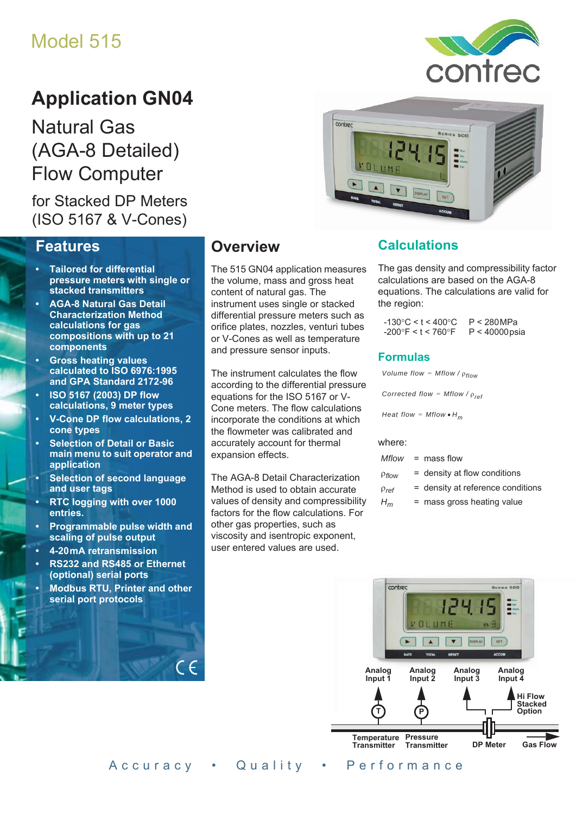# Model 515

# **Application GN04**

Natural Gas (AGA-8 Detailed) Flow Computer

# for Stacked DP Meters (ISO 5167 & V-Cones)

## **Features**

- **Tailored for differential pressure meters with single or stacked transmitters**
- **AGA-8 Natural Gas Detail Characterization Method calculations for gas compositions with up to 21 components**
- **Gross heating values calculated to ISO 6976:1995 and GPA Standard 2172-96**
- **ISO 5167 (2003) DP flow calculations, 9 meter types**
- **V-Cone DP flow calculations, 2 cone types**
- **Selection of Detail or Basic main menu to suit operator and application**
- **Selection of second language and user tags**
- **RTC logging with over 1000 entries.**
- **Programmable pulse width and scaling of pulse output**
- **4-20 mA retransmission**
- **RS232 and RS485 or Ethernet (optional) serial ports**
- **Modbus RTU, Printer and other serial port protocols**

# **Overview**

The 515 GN04 application measures the volume, mass and gross heat content of natural gas. The instrument uses single or stacked differential pressure meters such as orifice plates, nozzles, venturi tubes or V-Cones as well as temperature and pressure sensor inputs.

The instrument calculates the flow according to the differential pressure equations for the ISO 5167 or V-Cone meters. The flow calculations incorporate the conditions at which the flowmeter was calibrated and accurately account for thermal expansion effects.

The AGA-8 Detail Characterization Method is used to obtain accurate values of density and compressibility factors for the flow calculations. For other gas properties, such as viscosity and isentropic exponent, user entered values are used.



# **Calculations**

The gas density and compressibility factor calculations are based on the AGA-8 equations. The calculations are valid for the region:

| $-130^{\circ}$ C < t < 400 $^{\circ}$ C | P < 280MPa       |
|-----------------------------------------|------------------|
| $-200^{\circ}$ F < t < 760 $^{\circ}$ F | $P < 40000$ psia |

#### **Formulas**

*Volume flow = Mflow /*  $\rho_{flow}$ 

*Corrected flow = Mflow /*  $\rho_{ref}$ 

*Heat flow = Mflow •*  $H_m$ 

#### where:

|              | $Mflow = mass flow$               |
|--------------|-----------------------------------|
| $P$ flow     | $=$ density at flow conditions    |
| $\rho_{ref}$ | = density at reference conditions |
| $H_m$        | $=$ mass gross heating value      |





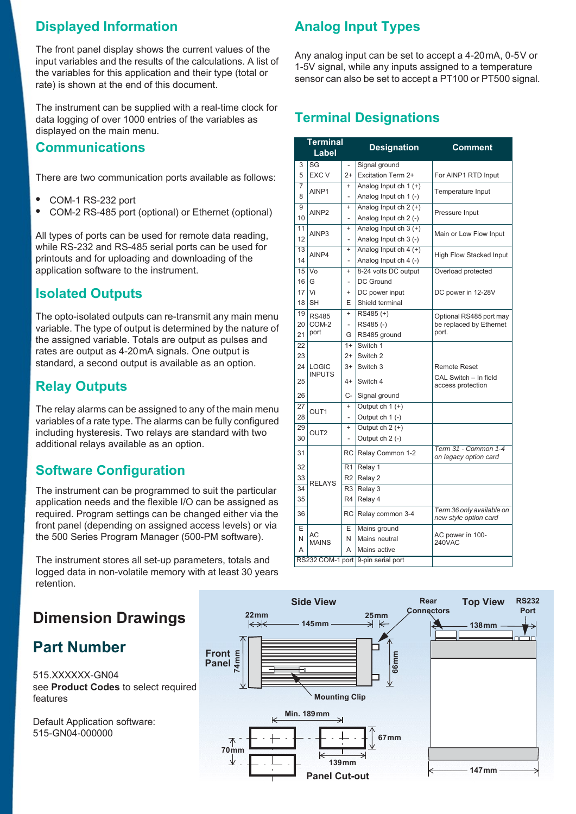# **Displayed Information**

The front panel display shows the current values of the input variables and the results of the calculations. A list of the variables for this application and their type (total or rate) is shown at the end of this document.

The instrument can be supplied with a real-time clock for data logging of over 1000 entries of the variables as displayed on the main menu.

## **Communications**

There are two communication ports available as follows:

- **•** COM-1 RS-232 port
- **•** COM-2 RS-485 port (optional) or Ethernet (optional)

All types of ports can be used for remote data reading, while RS-232 and RS-485 serial ports can be used for printouts and for uploading and downloading of the application software to the instrument.

# **Isolated Outputs**

The opto-isolated outputs can re-transmit any main menu variable. The type of output is determined by the nature of the assigned variable. Totals are output as pulses and rates are output as 4-20 mA signals. One output is standard, a second output is available as an option.

# **Relay Outputs**

The relay alarms can be assigned to any of the main menu variables of a rate type. The alarms can be fully configured including hysteresis. Two relays are standard with two additional relays available as an option.

# **Software Configuration**

The instrument can be programmed to suit the particular application needs and the flexible I/O can be assigned as required. Program settings can be changed either via the front panel (depending on assigned access levels) or via the 500 Series Program Manager (500-PM software).

The instrument stores all set-up parameters, totals and logged data in non-volatile memory with at least 30 years retention.

# **Dimension Drawings**

# **Part Number**

515.XXXXXX-GN04 see **[Product Codes](#page-3-0)** to select required features

Default Application software: 515-GN04-000000

# **Analog Input Types**

Any analog input can be set to accept a 4-20 mA, 0-5 V or 1-5V signal, while any inputs assigned to a temperature sensor can also be set to accept a PT100 or PT500 signal.

# **Terminal Designations**

|                 | <b>Terminal</b><br>Label |                          | <b>Designation</b>                 | <b>Comment</b>                                     |
|-----------------|--------------------------|--------------------------|------------------------------------|----------------------------------------------------|
| 3               | SG                       |                          | Signal ground                      |                                                    |
| 5               | <b>EXC V</b>             | $2+$                     | Excitation Term 2+                 | For AINP1 RTD Input                                |
| 7               | AINP1                    | $\ddot{}$                | Analog Input ch $1 (+)$            | Temperature Input                                  |
| 8               |                          | $\overline{\phantom{0}}$ | Analog Input ch 1 (-)              |                                                    |
| 9               | AINP <sub>2</sub>        | $\ddot{}$                | Analog Input ch 2 (+)              | Pressure Input                                     |
| 10              |                          | $\overline{a}$           | Analog Input ch 2 (-)              |                                                    |
| 11              | AINP3                    | $\ddot{}$                | Analog Input ch $3 (+)$            | Main or Low Flow Input                             |
| 12              |                          |                          | Analog Input ch 3 (-)              |                                                    |
| $\overline{13}$ | AINP4                    | $\ddot{}$                | Analog Input ch 4 (+)              | High Flow Stacked Input                            |
| 14              |                          | $\overline{\phantom{0}}$ | Analog Input ch 4 (-)              |                                                    |
| 15              | Vo                       | $\ddot{}$                | 8-24 volts DC output               | Overload protected                                 |
| 16              | G                        | $\overline{a}$           | <b>DC Ground</b>                   |                                                    |
| 17              | Vi                       | $\ddot{}$                | DC power input                     | DC power in 12-28V                                 |
| 18              | <b>SH</b>                | Е                        | Shield terminal                    |                                                    |
| 19              | <b>RS485</b>             | $\ddot{}$                | RS485 (+)                          | Optional RS485 port may                            |
| 20              | COM-2                    | $\overline{\phantom{0}}$ | RS485(-)                           | be replaced by Ethernet                            |
| 21              | port                     | G                        | RS485 ground                       | port.                                              |
| 22              |                          | $1+$                     | Switch 1                           |                                                    |
| 23              |                          | $2+$                     | Switch <sub>2</sub>                |                                                    |
| 24              | LOGIC                    | $3+$                     | Switch 3                           | <b>Remote Reset</b>                                |
| 25              | <b>INPUTS</b>            | $4+$                     | Switch 4                           | CAL Switch - In field<br>access protection         |
| 26              |                          | C-                       | Signal ground                      |                                                    |
| 27              | OUT <sub>1</sub>         | $\ddot{}$                | Output ch $1 (+)$                  |                                                    |
| 28              |                          | L,                       | Output ch 1 (-)                    |                                                    |
| 29              | OUT <sub>2</sub>         | $\ddot{}$                | Output $ch 2 (+)$                  |                                                    |
| 30              |                          | $\overline{\phantom{0}}$ | Output ch 2 (-)                    |                                                    |
| 31              |                          | <b>RC</b>                | Relay Common 1-2                   | Term 31 - Common 1-4<br>on legacy option card      |
| 32              |                          | R <sub>1</sub>           | Relay 1                            |                                                    |
| 33              | <b>RELAYS</b>            | R <sub>2</sub>           | Relay 2                            |                                                    |
| 34              |                          | R3                       | Relay 3                            |                                                    |
| 35              |                          | R <sub>4</sub>           | Relay 4                            |                                                    |
| 36              |                          | RC                       | Relay common 3-4                   | Term 36 only available on<br>new style option card |
| E               |                          | E                        | Mains ground                       |                                                    |
| N               | AC<br><b>MAINS</b>       | N                        | Mains neutral                      | AC power in 100-<br><b>240VAC</b>                  |
| A               |                          | A                        | Mains active                       |                                                    |
|                 |                          |                          | RS232 COM-1 port 9-pin serial port |                                                    |

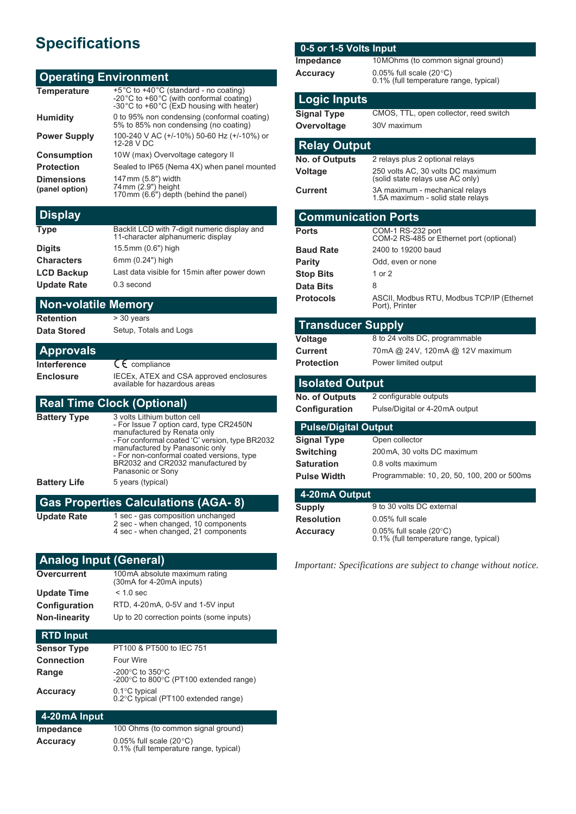# **Specifications**

#### **Operating Environment**

| <b>Temperature</b>                  | +5°C to +40°C (standard - no coating)<br>-20°C to +60°C (with conformal coating)<br>-30°C to +60°C (ExD housing with heater) |
|-------------------------------------|------------------------------------------------------------------------------------------------------------------------------|
| <b>Humidity</b>                     | 0 to 95% non condensing (conformal coating)<br>5% to 85% non condensing (no coating)                                         |
| <b>Power Supply</b>                 | 100-240 V AC (+/-10%) 50-60 Hz (+/-10%) or<br>12-28 V DC                                                                     |
| <b>Consumption</b>                  | 10W (max) Overvoltage category II                                                                                            |
| <b>Protection</b>                   | Sealed to IP65 (Nema 4X) when panel mounted                                                                                  |
| <b>Dimensions</b><br>(panel option) | 147mm (5.8") width<br>74mm (2.9") height<br>170mm (6.6") depth (behind the panel)                                            |

#### **Display**

| Backlit LCD with 7-digit numeric display and<br>11-character alphanumeric display |
|-----------------------------------------------------------------------------------|
| 15.5mm (0.6") high                                                                |
| 6mm (0.24") high                                                                  |
| Last data visible for 15 min after power down                                     |
| 0.3 second                                                                        |
|                                                                                   |

# **Non-volatile Memory**

**Retention** > 30 years

**Data Stored** Setup, Totals and Logs

| <b>Approvals</b> |                                                                          |
|------------------|--------------------------------------------------------------------------|
| Interference     | $C_{\epsilon}$ compliance                                                |
| <b>Enclosure</b> | IECEx, ATEX and CSA approved enclosures<br>available for hazardous areas |

### **Real Time Clock (Optional)**

| <b>Battery Type</b> | 3 volts Lithium button cell<br>- For Issue 7 option card, type CR2450N<br>manufactured by Renata only<br>- For conformal coated 'C' version, type BR2032<br>manufactured by Panasonic only<br>- For non-conformal coated versions, type<br>BR2032 and CR2032 manufactured by<br>Panasonic or Sony |
|---------------------|---------------------------------------------------------------------------------------------------------------------------------------------------------------------------------------------------------------------------------------------------------------------------------------------------|
| <b>Battery Life</b> | 5 years (typical)                                                                                                                                                                                                                                                                                 |

#### **Gas Properties Calculations (AGA- 8) Update Rate** 1 sec - gas composition unchanged<br>2 sec - when changed, 10 components 4 sec - when changed, 21 components

#### **Analog Input (General)**

| 100mA absolute maximum rating<br>(30mA for 4-20mA inputs) |
|-----------------------------------------------------------|
| $< 1.0$ sec                                               |
| RTD, 4-20mA, 0-5V and 1-5V input                          |
| Up to 20 correction points (some inputs)                  |
|                                                           |

#### **RTD Input**

| Sensor Type | PT100 & PT500 to IEC 751                                                      |
|-------------|-------------------------------------------------------------------------------|
| Connection  | Four Wire                                                                     |
| Range       | -200 $\degree$ C to 350 $\degree$ C<br>-200°C to 800°C (PT100 extended range) |
| Accuracy    | $0.1^{\circ}$ C typical<br>0.2°C typical (PT100 extended range)               |

## **4-20 mA Input**

| Impedance | 100 Ohms (to common signal ground)                                         |
|-----------|----------------------------------------------------------------------------|
| Accuracy  | 0.05% full scale $(20^{\circ}C)$<br>0.1% (full temperature range, typical) |

#### **0-5 or 1-5 Volts Input**

| Impedance       | 10 MOhms (to common signal ground)                                         |
|-----------------|----------------------------------------------------------------------------|
| <b>Accuracy</b> | 0.05% full scale $(20^{\circ}C)$<br>0.1% (full temperature range, typical) |

#### **Logic Inputs**

**Signal Type** CMOS, TTL, open collector, reed switch **Overvoltage** 30V maximum

| <b>Relay Output</b>        |                                                                       |
|----------------------------|-----------------------------------------------------------------------|
| <b>No. of Outputs</b>      | 2 relays plus 2 optional relays                                       |
| Voltage                    | 250 volts AC, 30 volts DC maximum<br>(solid state relays use AC only) |
| <b>Current</b>             | 3A maximum - mechanical relays<br>1.5A maximum - solid state relays   |
| <b>Communication Ports</b> |                                                                       |
| Ports                      | COM-1 RS-232 port<br>COM-2 RS-485 or Ethernet port (optional)         |
| <b>Baud Rate</b>           | 2400 to 19200 baud                                                    |
| Parity                     | Odd, even or none                                                     |
| <b>Stop Bits</b>           | 1 or 2                                                                |
| Data Bits                  | 8                                                                     |
|                            |                                                                       |

#### **Protocols** ASCII, Modbus RTU, Modbus TCP/IP (Ethernet Port), Printer

#### **Transducer Supply**

**Protection** Power limited output

**Voltage** 8 to 24 volts DC, programmable **Current** 70mA @ 24V, 120mA @ 12V maximum

#### **Isolated Output**

**No. of Outputs** 2 configurable outputs

**Configuration** Pulse/Digital or 4-20mA output

#### **Pulse/Digital Output**

| Signal Type        | Open collector                              |
|--------------------|---------------------------------------------|
| Switching          | 200 mA, 30 volts DC maximum                 |
| Saturation         | 0.8 volts maximum                           |
| <b>Pulse Width</b> | Programmable: 10, 20, 50, 100, 200 or 500ms |
|                    |                                             |

#### **4-20 mA Output**

| Supply            | 9 to 30 volts DC external                                                      |
|-------------------|--------------------------------------------------------------------------------|
| <b>Resolution</b> | 0.05% full scale                                                               |
| Accuracy          | $0.05\%$ full scale (20 $\degree$ C)<br>0.1% (full temperature range, typical) |

*Important: Specifications are subject to change without notice.*